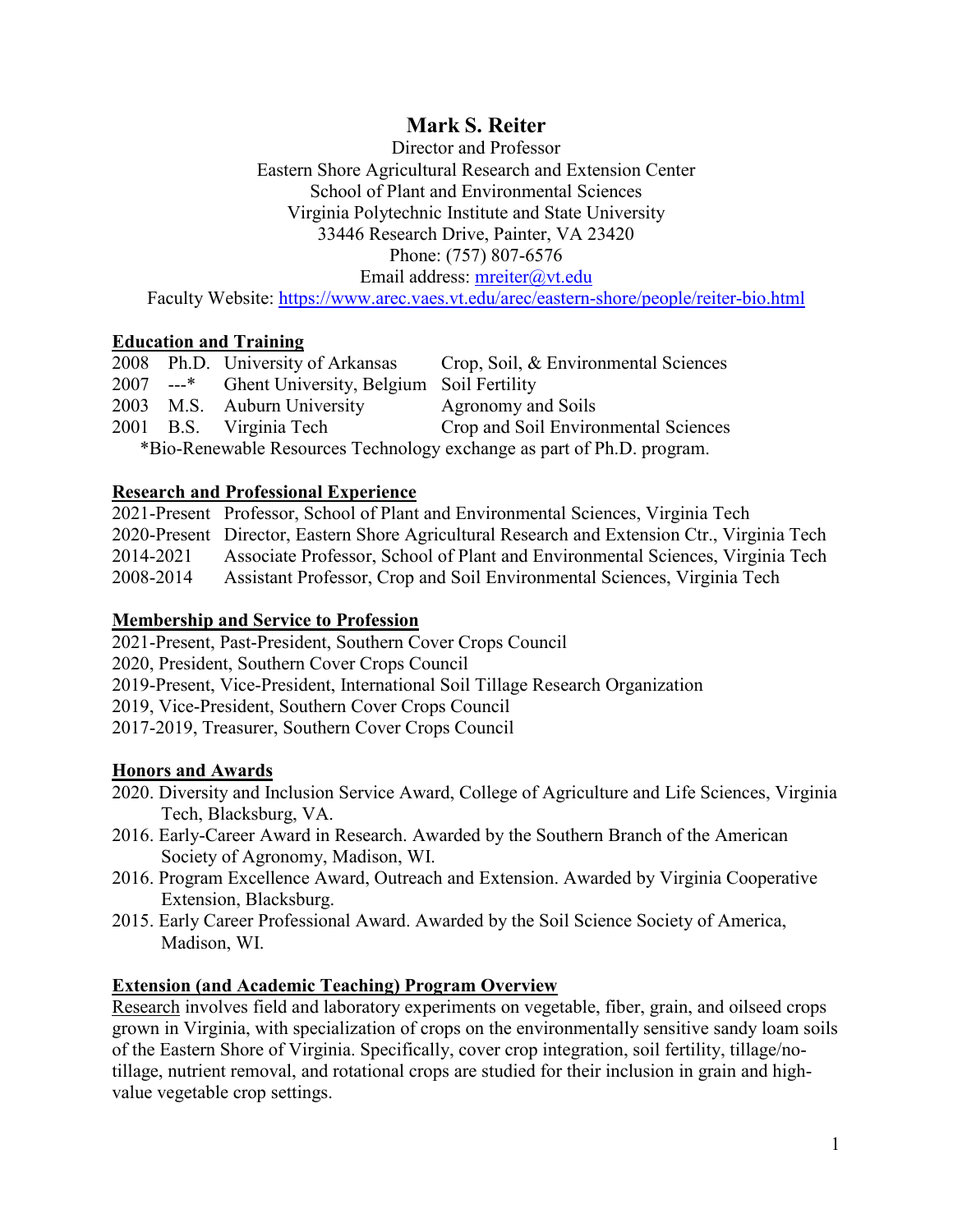# **Mark S. Reiter**

Director and Professor Eastern Shore Agricultural Research and Extension Center School of Plant and Environmental Sciences Virginia Polytechnic Institute and State University 33446 Research Drive, Painter, VA 23420 Phone: (757) 807-6576 Email address: [mreiter@vt.edu](mailto:mreiter@vt.edu)

Faculty Website:<https://www.arec.vaes.vt.edu/arec/eastern-shore/people/reiter-bio.html>

### **Education and Training**

|                                                                        |  | 2008 Ph.D. University of Arkansas                  | Crop, Soil, & Environmental Sciences |
|------------------------------------------------------------------------|--|----------------------------------------------------|--------------------------------------|
|                                                                        |  | 2007 ---* Ghent University, Belgium Soil Fertility |                                      |
|                                                                        |  | 2003 M.S. Auburn University                        | Agronomy and Soils                   |
|                                                                        |  | 2001 B.S. Virginia Tech                            | Crop and Soil Environmental Sciences |
| *Bio-Renewable Resources Technology exchange as part of Ph.D. program. |  |                                                    |                                      |

### **Research and Professional Experience**

2021-Present Professor, School of Plant and Environmental Sciences, Virginia Tech 2020-Present Director, Eastern Shore Agricultural Research and Extension Ctr., Virginia Tech 2014-2021 Associate Professor, School of Plant and Environmental Sciences, Virginia Tech 2008-2014 Assistant Professor, Crop and Soil Environmental Sciences, Virginia Tech

### **Membership and Service to Profession**

2021-Present, Past-President, Southern Cover Crops Council

2020, President, Southern Cover Crops Council

2019-Present, Vice-President, International Soil Tillage Research Organization

2019, Vice-President, Southern Cover Crops Council

2017-2019, Treasurer, Southern Cover Crops Council

### **Honors and Awards**

- 2020. Diversity and Inclusion Service Award, College of Agriculture and Life Sciences, Virginia Tech, Blacksburg, VA.
- 2016. Early-Career Award in Research. Awarded by the Southern Branch of the American Society of Agronomy, Madison, WI.
- 2016. Program Excellence Award, Outreach and Extension. Awarded by Virginia Cooperative Extension, Blacksburg.
- 2015. Early Career Professional Award. Awarded by the Soil Science Society of America, Madison, WI.

### **Extension (and Academic Teaching) Program Overview**

Research involves field and laboratory experiments on vegetable, fiber, grain, and oilseed crops grown in Virginia, with specialization of crops on the environmentally sensitive sandy loam soils of the Eastern Shore of Virginia. Specifically, cover crop integration, soil fertility, tillage/notillage, nutrient removal, and rotational crops are studied for their inclusion in grain and highvalue vegetable crop settings.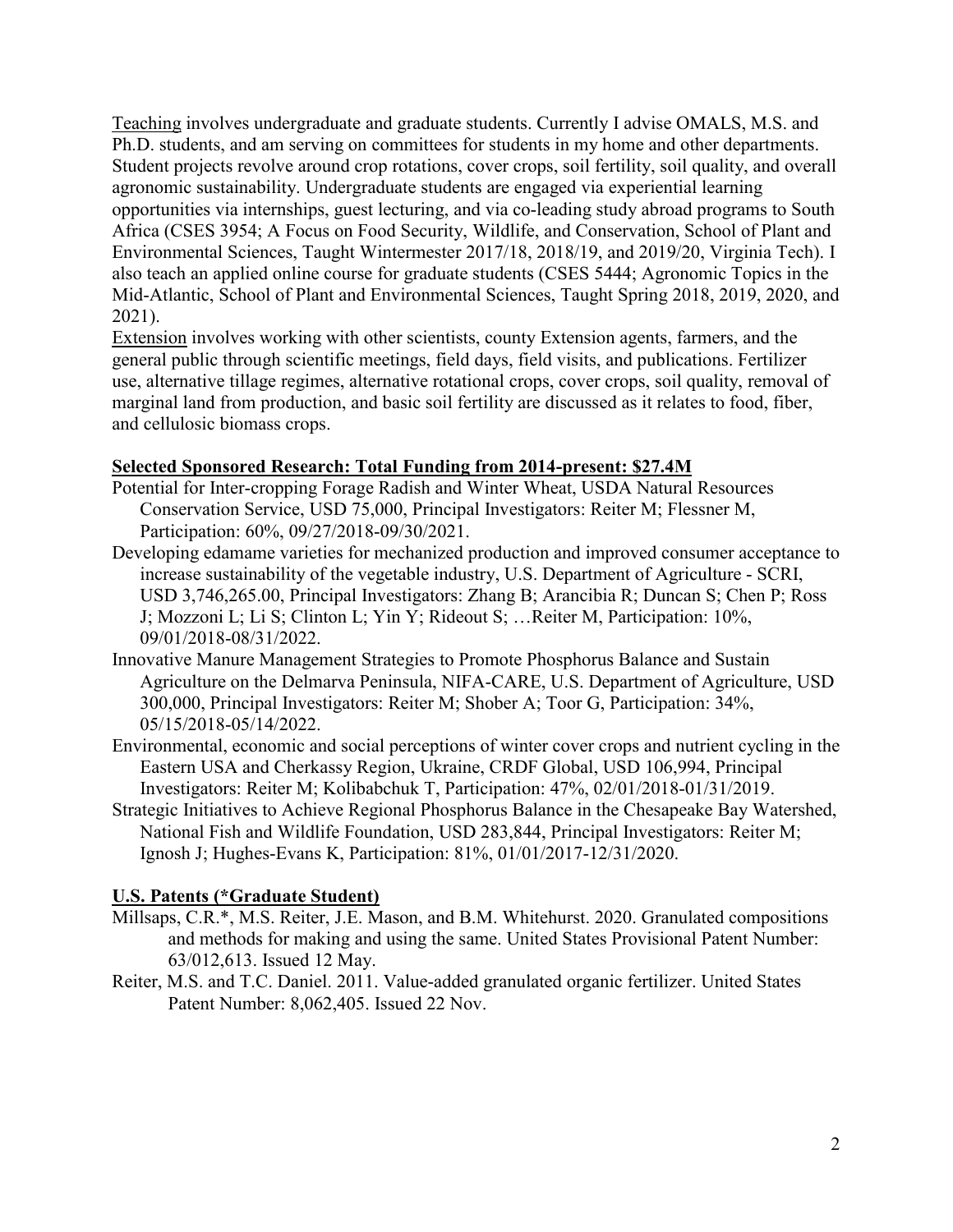Teaching involves undergraduate and graduate students. Currently I advise OMALS, M.S. and Ph.D. students, and am serving on committees for students in my home and other departments. Student projects revolve around crop rotations, cover crops, soil fertility, soil quality, and overall agronomic sustainability. Undergraduate students are engaged via experiential learning opportunities via internships, guest lecturing, and via co-leading study abroad programs to South Africa (CSES 3954; A Focus on Food Security, Wildlife, and Conservation, School of Plant and Environmental Sciences, Taught Wintermester 2017/18, 2018/19, and 2019/20, Virginia Tech). I also teach an applied online course for graduate students (CSES 5444; Agronomic Topics in the Mid-Atlantic, School of Plant and Environmental Sciences, Taught Spring 2018, 2019, 2020, and 2021).

Extension involves working with other scientists, county Extension agents, farmers, and the general public through scientific meetings, field days, field visits, and publications. Fertilizer use, alternative tillage regimes, alternative rotational crops, cover crops, soil quality, removal of marginal land from production, and basic soil fertility are discussed as it relates to food, fiber, and cellulosic biomass crops.

## **Selected Sponsored Research: Total Funding from 2014-present: \$27.4M**

- Potential for Inter-cropping Forage Radish and Winter Wheat, USDA Natural Resources Conservation Service, USD 75,000, Principal Investigators: Reiter M; Flessner M, Participation: 60%, 09/27/2018-09/30/2021.
- Developing edamame varieties for mechanized production and improved consumer acceptance to increase sustainability of the vegetable industry, U.S. Department of Agriculture - SCRI, USD 3,746,265.00, Principal Investigators: Zhang B; Arancibia R; Duncan S; Chen P; Ross J; Mozzoni L; Li S; Clinton L; Yin Y; Rideout S; …Reiter M, Participation: 10%, 09/01/2018-08/31/2022.
- Innovative Manure Management Strategies to Promote Phosphorus Balance and Sustain Agriculture on the Delmarva Peninsula, NIFA-CARE, U.S. Department of Agriculture, USD 300,000, Principal Investigators: Reiter M; Shober A; Toor G, Participation: 34%, 05/15/2018-05/14/2022.
- Environmental, economic and social perceptions of winter cover crops and nutrient cycling in the Eastern USA and Cherkassy Region, Ukraine, CRDF Global, USD 106,994, Principal Investigators: Reiter M; Kolibabchuk T, Participation: 47%, 02/01/2018-01/31/2019.
- Strategic Initiatives to Achieve Regional Phosphorus Balance in the Chesapeake Bay Watershed, National Fish and Wildlife Foundation, USD 283,844, Principal Investigators: Reiter M; Ignosh J; Hughes-Evans K, Participation: 81%, 01/01/2017-12/31/2020.

# **U.S. Patents (\*Graduate Student)**

- Millsaps, C.R.\*, M.S. Reiter, J.E. Mason, and B.M. Whitehurst. 2020. Granulated compositions and methods for making and using the same. United States Provisional Patent Number: 63/012,613. Issued 12 May.
- Reiter, M.S. and T.C. Daniel. 2011. Value-added granulated organic fertilizer. United States Patent Number: 8,062,405. Issued 22 Nov.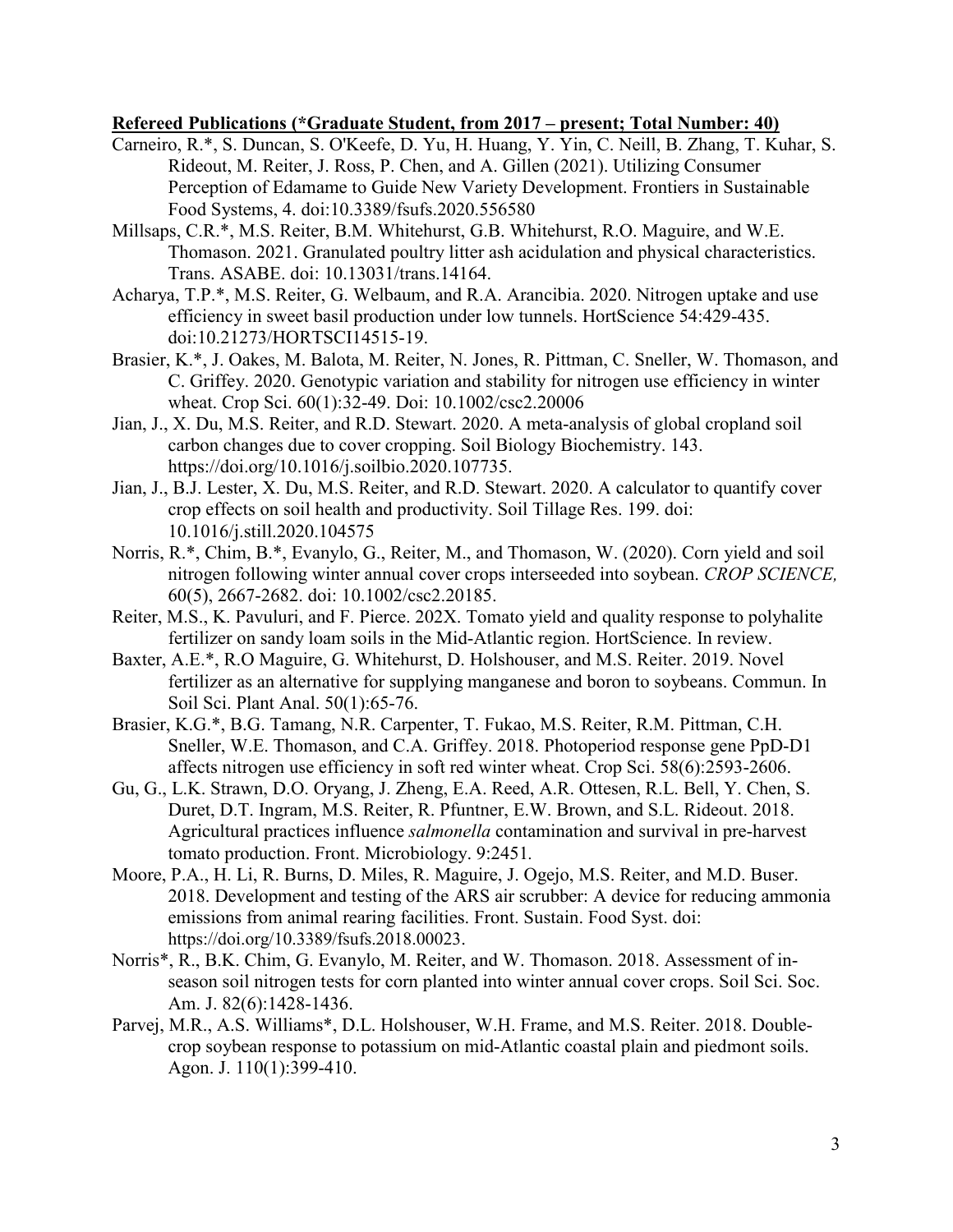#### **Refereed Publications (\*Graduate Student, from 2017 – present; Total Number: 40)**

- Carneiro, R.\*, S. Duncan, S. O'Keefe, D. Yu, H. Huang, Y. Yin, C. Neill, B. Zhang, T. Kuhar, S. Rideout, M. Reiter, J. Ross, P. Chen, and A. Gillen (2021). Utilizing Consumer Perception of Edamame to Guide New Variety Development. Frontiers in Sustainable Food Systems, 4. doi:10.3389/fsufs.2020.556580
- Millsaps, C.R.\*, M.S. Reiter, B.M. Whitehurst, G.B. Whitehurst, R.O. Maguire, and W.E. Thomason. 2021. Granulated poultry litter ash acidulation and physical characteristics. Trans. ASABE. doi: 10.13031/trans.14164.
- Acharya, T.P.\*, M.S. Reiter, G. Welbaum, and R.A. Arancibia. 2020. Nitrogen uptake and use efficiency in sweet basil production under low tunnels. HortScience 54:429-435. doi[:10.21273/HORTSCI14515-19.](http://doi.org/10.21273/HORTSCI14515-19)
- Brasier, K.\*, J. Oakes, M. Balota, M. Reiter, N. Jones, R. Pittman, C. Sneller, W. Thomason, and C. Griffey. 2020. Genotypic variation and stability for nitrogen use efficiency in winter wheat. Crop Sci. 60(1):32-49. Doi: 10.1002/csc2.20006
- Jian, J., X. Du, M.S. Reiter, and R.D. Stewart. 2020. A meta-analysis of global cropland soil carbon changes due to cover cropping. Soil Biology Biochemistry. 143. [https://doi.org/10.1016/j.soilbio.2020.107735.](https://doi.org/10.1016/j.soilbio.2020.107735)
- Jian, J., B.J. Lester, X. Du, M.S. Reiter, and R.D. Stewart. 2020. A calculator to quantify cover crop effects on soil health and productivity. Soil Tillage Res. 199. doi: 10.1016/j.still.2020.104575
- Norris, R.\*, Chim, B.\*, Evanylo, G., Reiter, M., and Thomason, W. (2020). Corn yield and soil nitrogen following winter annual cover crops interseeded into soybean. *CROP SCIENCE,*  60(5), 2667-2682. doi: 10.1002/csc2.20185.
- Reiter, M.S., K. Pavuluri, and F. Pierce. 202X. Tomato yield and quality response to polyhalite fertilizer on sandy loam soils in the Mid-Atlantic region. HortScience. In review.
- Baxter, A.E.\*, R.O Maguire, G. Whitehurst, D. Holshouser, and M.S. Reiter. 2019. Novel fertilizer as an alternative for supplying manganese and boron to soybeans. Commun. In Soil Sci. Plant Anal. 50(1):65-76.
- Brasier, K.G.\*, B.G. Tamang, N.R. Carpenter, T. Fukao, M.S. Reiter, R.M. Pittman, C.H. Sneller, W.E. Thomason, and C.A. Griffey. 2018. Photoperiod response gene PpD-D1 affects nitrogen use efficiency in soft red winter wheat. Crop Sci. 58(6):2593-2606.
- Gu, G., L.K. Strawn, D.O. Oryang, J. Zheng, E.A. Reed, A.R. Ottesen, R.L. Bell, Y. Chen, S. Duret, D.T. Ingram, M.S. Reiter, R. Pfuntner, E.W. Brown, and S.L. Rideout. 2018. Agricultural practices influence *salmonella* contamination and survival in pre-harvest tomato production. Front. Microbiology. 9:2451*.*
- Moore, P.A., H. Li, R. Burns, D. Miles, R. Maguire, J. Ogejo, M.S. Reiter, and M.D. Buser. 2018. Development and testing of the ARS air scrubber: A device for reducing ammonia emissions from animal rearing facilities. Front. Sustain. Food Syst. doi: [https://doi.org/10.3389/fsufs.2018.00023.](https://doi.org/10.3389/fsufs.2018.00023)
- Norris\*, R., B.K. Chim, G. Evanylo, M. Reiter, and W. Thomason. 2018. Assessment of inseason soil nitrogen tests for corn planted into winter annual cover crops. Soil Sci. Soc. Am. J. 82(6):1428-1436.
- Parvej, M.R., A.S. Williams\*, D.L. Holshouser, W.H. Frame, and M.S. Reiter. 2018. Doublecrop soybean response to potassium on mid-Atlantic coastal plain and piedmont soils. Agon. J. 110(1):399-410.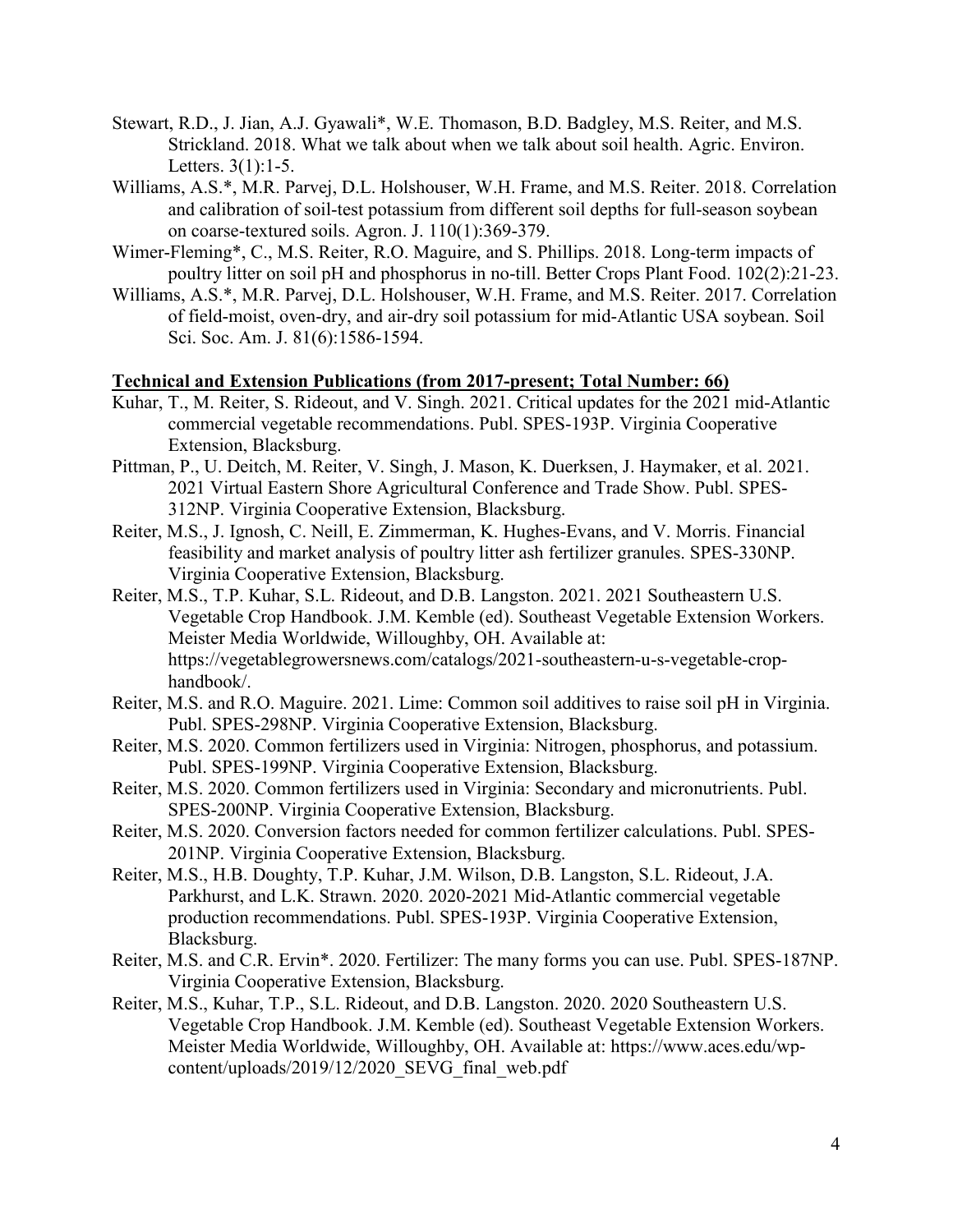- Stewart, R.D., J. Jian, A.J. Gyawali\*, W.E. Thomason, B.D. Badgley, M.S. Reiter, and M.S. Strickland. 2018. What we talk about when we talk about soil health. Agric. Environ. Letters. 3(1):1-5.
- Williams, A.S.\*, M.R. Parvej, D.L. Holshouser, W.H. Frame, and M.S. Reiter. 2018. Correlation and calibration of soil-test potassium from different soil depths for full-season soybean on coarse-textured soils. Agron. J. 110(1):369-379.
- Wimer-Fleming\*, C., M.S. Reiter, R.O. Maguire, and S. Phillips. 2018. Long-term impacts of poultry litter on soil pH and phosphorus in no-till. Better Crops Plant Food. 102(2):21-23.
- Williams, A.S.\*, M.R. Parvej, D.L. Holshouser, W.H. Frame, and M.S. Reiter. 2017. Correlation of field-moist, oven-dry, and air-dry soil potassium for mid-Atlantic USA soybean. Soil Sci. Soc. Am. J. 81(6):1586-1594.

#### **Technical and Extension Publications (from 2017-present; Total Number: 66)**

- Kuhar, T., M. Reiter, S. Rideout, and V. Singh. 2021. Critical updates for the 2021 mid-Atlantic commercial vegetable recommendations. Publ. SPES-193P. Virginia Cooperative Extension, Blacksburg.
- Pittman, P., U. Deitch, M. Reiter, V. Singh, J. Mason, K. Duerksen, J. Haymaker, et al. 2021. 2021 Virtual Eastern Shore Agricultural Conference and Trade Show. Publ. SPES-312NP. Virginia Cooperative Extension, Blacksburg.
- Reiter, M.S., J. Ignosh, C. Neill, E. Zimmerman, K. Hughes-Evans, and V. Morris. Financial feasibility and market analysis of poultry litter ash fertilizer granules. SPES-330NP. Virginia Cooperative Extension, Blacksburg.
- Reiter, M.S., T.P. Kuhar, S.L. Rideout, and D.B. Langston. 2021. 2021 Southeastern U.S. Vegetable Crop Handbook. J.M. Kemble (ed). Southeast Vegetable Extension Workers. Meister Media Worldwide, Willoughby, OH. Available at: https://vegetablegrowersnews.com/catalogs/2021-southeastern-u-s-vegetable-crophandbook/.
- Reiter, M.S. and R.O. Maguire. 2021. Lime: Common soil additives to raise soil pH in Virginia. Publ. SPES-298NP. Virginia Cooperative Extension, Blacksburg.
- Reiter, M.S. 2020. Common fertilizers used in Virginia: Nitrogen, phosphorus, and potassium. Publ. SPES-199NP. Virginia Cooperative Extension, Blacksburg.
- Reiter, M.S. 2020. Common fertilizers used in Virginia: Secondary and micronutrients. Publ. SPES-200NP. Virginia Cooperative Extension, Blacksburg.
- Reiter, M.S. 2020. Conversion factors needed for common fertilizer calculations. Publ. SPES-201NP. Virginia Cooperative Extension, Blacksburg.
- Reiter, M.S., H.B. Doughty, T.P. Kuhar, J.M. Wilson, D.B. Langston, S.L. Rideout, J.A. Parkhurst, and L.K. Strawn. 2020. 2020-2021 Mid-Atlantic commercial vegetable production recommendations. Publ. SPES-193P. Virginia Cooperative Extension, Blacksburg.
- Reiter, M.S. and C.R. Ervin\*. 2020. Fertilizer: The many forms you can use. Publ. SPES-187NP. Virginia Cooperative Extension, Blacksburg.
- Reiter, M.S., Kuhar, T.P., S.L. Rideout, and D.B. Langston. 2020. 2020 Southeastern U.S. Vegetable Crop Handbook. J.M. Kemble (ed). Southeast Vegetable Extension Workers. Meister Media Worldwide, Willoughby, OH. Available at: https://www.aces.edu/wpcontent/uploads/2019/12/2020\_SEVG\_final\_web.pdf